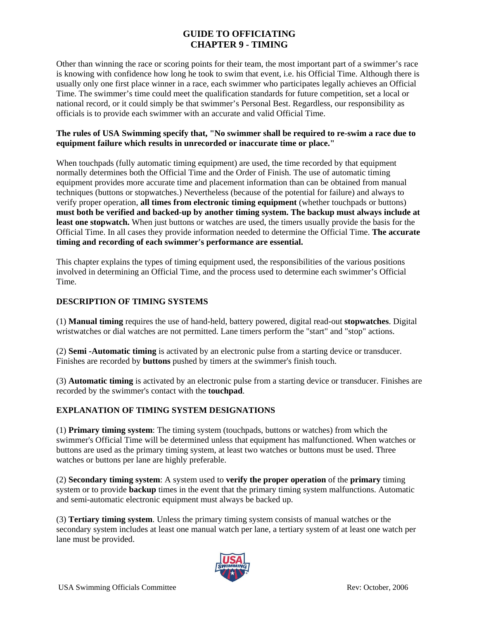Other than winning the race or scoring points for their team, the most important part of a swimmer's race is knowing with confidence how long he took to swim that event, i.e. his Official Time. Although there is usually only one first place winner in a race, each swimmer who participates legally achieves an Official Time. The swimmer's time could meet the qualification standards for future competition, set a local or national record, or it could simply be that swimmer's Personal Best. Regardless, our responsibility as officials is to provide each swimmer with an accurate and valid Official Time.

#### **The rules of USA Swimming specify that, "No swimmer shall be required to re-swim a race due to equipment failure which results in unrecorded or inaccurate time or place."**

When touchpads (fully automatic timing equipment) are used, the time recorded by that equipment normally determines both the Official Time and the Order of Finish. The use of automatic timing equipment provides more accurate time and placement information than can be obtained from manual techniques (buttons or stopwatches.) Nevertheless (because of the potential for failure) and always to verify proper operation, **all times from electronic timing equipment** (whether touchpads or buttons) **must both be verified and backed-up by another timing system. The backup must always include at least one stopwatch.** When just buttons or watches are used, the timers usually provide the basis for the Official Time. In all cases they provide information needed to determine the Official Time. **The accurate timing and recording of each swimmer's performance are essential.** 

This chapter explains the types of timing equipment used, the responsibilities of the various positions involved in determining an Official Time, and the process used to determine each swimmer's Official Time.

## **DESCRIPTION OF TIMING SYSTEMS**

(1) **Manual timing** requires the use of hand-held, battery powered, digital read-out **stopwatches**. Digital wristwatches or dial watches are not permitted. Lane timers perform the "start" and "stop" actions.

(2) **Semi -Automatic timing** is activated by an electronic pulse from a starting device or transducer. Finishes are recorded by **buttons** pushed by timers at the swimmer's finish touch.

(3) **Automatic timing** is activated by an electronic pulse from a starting device or transducer. Finishes are recorded by the swimmer's contact with the **touchpad**.

## **EXPLANATION OF TIMING SYSTEM DESIGNATIONS**

(1) **Primary timing system**: The timing system (touchpads, buttons or watches) from which the swimmer's Official Time will be determined unless that equipment has malfunctioned. When watches or buttons are used as the primary timing system, at least two watches or buttons must be used. Three watches or buttons per lane are highly preferable.

(2) **Secondary timing system**: A system used to **verify the proper operation** of the **primary** timing system or to provide **backup** times in the event that the primary timing system malfunctions. Automatic and semi-automatic electronic equipment must always be backed up.

(3) **Tertiary timing system**. Unless the primary timing system consists of manual watches or the secondary system includes at least one manual watch per lane, a tertiary system of at least one watch per lane must be provided.

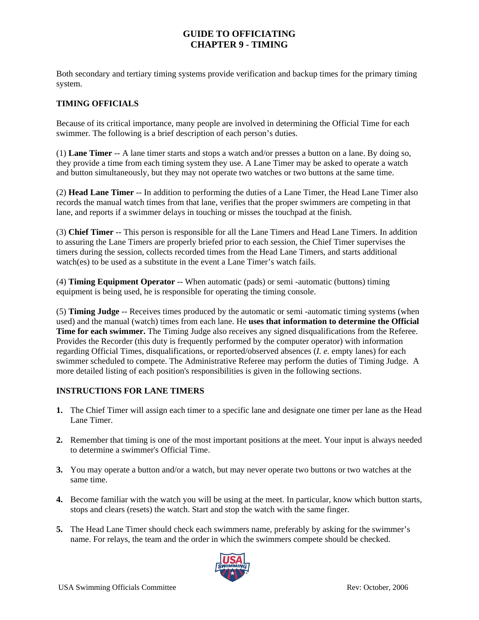Both secondary and tertiary timing systems provide verification and backup times for the primary timing system.

# **TIMING OFFICIALS**

Because of its critical importance, many people are involved in determining the Official Time for each swimmer. The following is a brief description of each person's duties.

(1) **Lane Timer** -- A lane timer starts and stops a watch and/or presses a button on a lane. By doing so, they provide a time from each timing system they use. A Lane Timer may be asked to operate a watch and button simultaneously, but they may not operate two watches or two buttons at the same time.

(2) **Head Lane Timer** -- In addition to performing the duties of a Lane Timer, the Head Lane Timer also records the manual watch times from that lane, verifies that the proper swimmers are competing in that lane, and reports if a swimmer delays in touching or misses the touchpad at the finish.

(3) **Chief Timer** -- This person is responsible for all the Lane Timers and Head Lane Timers. In addition to assuring the Lane Timers are properly briefed prior to each session, the Chief Timer supervises the timers during the session, collects recorded times from the Head Lane Timers, and starts additional watch(es) to be used as a substitute in the event a Lane Timer's watch fails.

(4) **Timing Equipment Operator** -- When automatic (pads) or semi -automatic (buttons) timing equipment is being used, he is responsible for operating the timing console.

(5) **Timing Judge** -- Receives times produced by the automatic or semi -automatic timing systems (when used) and the manual (watch) times from each lane. He **uses that information to determine the Official Time for each swimmer.** The Timing Judge also receives any signed disqualifications from the Referee. Provides the Recorder (this duty is frequently performed by the computer operator) with information regarding Official Times, disqualifications, or reported/observed absences (*I. e.* empty lanes) for each swimmer scheduled to compete. The Administrative Referee may perform the duties of Timing Judge. A more detailed listing of each position's responsibilities is given in the following sections.

## **INSTRUCTIONS FOR LANE TIMERS**

- **1.** The Chief Timer will assign each timer to a specific lane and designate one timer per lane as the Head Lane Timer.
- **2.** Remember that timing is one of the most important positions at the meet. Your input is always needed to determine a swimmer's Official Time.
- **3.** You may operate a button and/or a watch, but may never operate two buttons or two watches at the same time.
- **4.** Become familiar with the watch you will be using at the meet. In particular, know which button starts, stops and clears (resets) the watch. Start and stop the watch with the same finger.
- **5.** The Head Lane Timer should check each swimmers name, preferably by asking for the swimmer's name. For relays, the team and the order in which the swimmers compete should be checked.

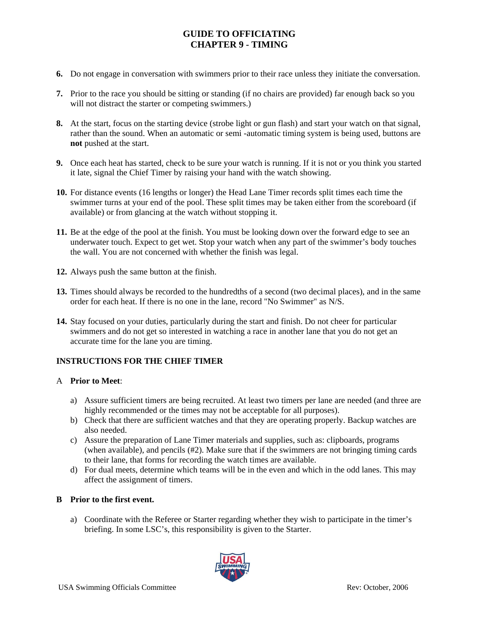- **6.** Do not engage in conversation with swimmers prior to their race unless they initiate the conversation.
- **7.** Prior to the race you should be sitting or standing (if no chairs are provided) far enough back so you will not distract the starter or competing swimmers.)
- **8.** At the start, focus on the starting device (strobe light or gun flash) and start your watch on that signal, rather than the sound. When an automatic or semi -automatic timing system is being used, buttons are **not** pushed at the start.
- **9.** Once each heat has started, check to be sure your watch is running. If it is not or you think you started it late, signal the Chief Timer by raising your hand with the watch showing.
- **10.** For distance events (16 lengths or longer) the Head Lane Timer records split times each time the swimmer turns at your end of the pool. These split times may be taken either from the scoreboard (if available) or from glancing at the watch without stopping it.
- **11.** Be at the edge of the pool at the finish. You must be looking down over the forward edge to see an underwater touch. Expect to get wet. Stop your watch when any part of the swimmer's body touches the wall. You are not concerned with whether the finish was legal.
- **12.** Always push the same button at the finish.
- **13.** Times should always be recorded to the hundredths of a second (two decimal places), and in the same order for each heat. If there is no one in the lane, record "No Swimmer" as N/S.
- **14.** Stay focused on your duties, particularly during the start and finish. Do not cheer for particular swimmers and do not get so interested in watching a race in another lane that you do not get an accurate time for the lane you are timing.

## **INSTRUCTIONS FOR THE CHIEF TIMER**

## A **Prior to Meet**:

- a) Assure sufficient timers are being recruited. At least two timers per lane are needed (and three are highly recommended or the times may not be acceptable for all purposes).
- b) Check that there are sufficient watches and that they are operating properly. Backup watches are also needed.
- c) Assure the preparation of Lane Timer materials and supplies, such as: clipboards, programs (when available), and pencils (#2). Make sure that if the swimmers are not bringing timing cards to their lane, that forms for recording the watch times are available.
- d) For dual meets, determine which teams will be in the even and which in the odd lanes. This may affect the assignment of timers.

## **B Prior to the first event.**

a) Coordinate with the Referee or Starter regarding whether they wish to participate in the timer's briefing. In some LSC's, this responsibility is given to the Starter.

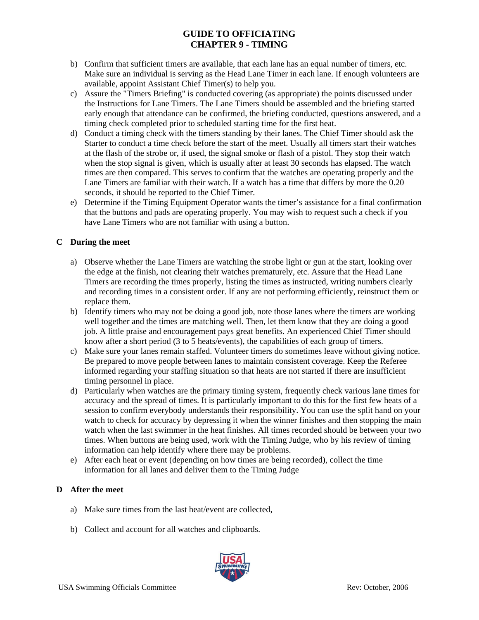- b) Confirm that sufficient timers are available, that each lane has an equal number of timers, etc. Make sure an individual is serving as the Head Lane Timer in each lane. If enough volunteers are available, appoint Assistant Chief Timer(s) to help you.
- c) Assure the "Timers Briefing" is conducted covering (as appropriate) the points discussed under the Instructions for Lane Timers. The Lane Timers should be assembled and the briefing started early enough that attendance can be confirmed, the briefing conducted, questions answered, and a timing check completed prior to scheduled starting time for the first heat.
- d) Conduct a timing check with the timers standing by their lanes. The Chief Timer should ask the Starter to conduct a time check before the start of the meet. Usually all timers start their watches at the flash of the strobe or, if used, the signal smoke or flash of a pistol. They stop their watch when the stop signal is given, which is usually after at least 30 seconds has elapsed. The watch times are then compared. This serves to confirm that the watches are operating properly and the Lane Timers are familiar with their watch. If a watch has a time that differs by more the 0.20 seconds, it should be reported to the Chief Timer.
- e) Determine if the Timing Equipment Operator wants the timer's assistance for a final confirmation that the buttons and pads are operating properly. You may wish to request such a check if you have Lane Timers who are not familiar with using a button.

#### **C During the meet**

- a) Observe whether the Lane Timers are watching the strobe light or gun at the start, looking over the edge at the finish, not clearing their watches prematurely, etc. Assure that the Head Lane Timers are recording the times properly, listing the times as instructed, writing numbers clearly and recording times in a consistent order. If any are not performing efficiently, reinstruct them or replace them.
- b) Identify timers who may not be doing a good job, note those lanes where the timers are working well together and the times are matching well. Then, let them know that they are doing a good job. A little praise and encouragement pays great benefits. An experienced Chief Timer should know after a short period (3 to 5 heats/events), the capabilities of each group of timers.
- c) Make sure your lanes remain staffed. Volunteer timers do sometimes leave without giving notice. Be prepared to move people between lanes to maintain consistent coverage. Keep the Referee informed regarding your staffing situation so that heats are not started if there are insufficient timing personnel in place.
- d) Particularly when watches are the primary timing system, frequently check various lane times for accuracy and the spread of times. It is particularly important to do this for the first few heats of a session to confirm everybody understands their responsibility. You can use the split hand on your watch to check for accuracy by depressing it when the winner finishes and then stopping the main watch when the last swimmer in the heat finishes. All times recorded should be between your two times. When buttons are being used, work with the Timing Judge, who by his review of timing information can help identify where there may be problems.
- e) After each heat or event (depending on how times are being recorded), collect the time information for all lanes and deliver them to the Timing Judge

#### **D After the meet**

- a) Make sure times from the last heat/event are collected,
- b) Collect and account for all watches and clipboards.

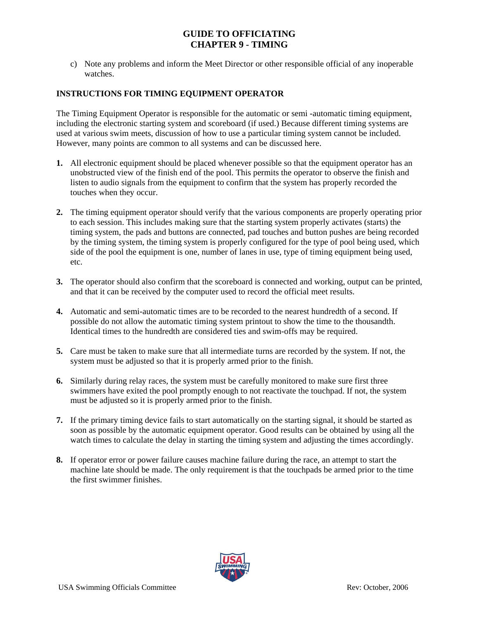c) Note any problems and inform the Meet Director or other responsible official of any inoperable watches.

## **INSTRUCTIONS FOR TIMING EQUIPMENT OPERATOR**

The Timing Equipment Operator is responsible for the automatic or semi -automatic timing equipment, including the electronic starting system and scoreboard (if used.) Because different timing systems are used at various swim meets, discussion of how to use a particular timing system cannot be included. However, many points are common to all systems and can be discussed here.

- **1.** All electronic equipment should be placed whenever possible so that the equipment operator has an unobstructed view of the finish end of the pool. This permits the operator to observe the finish and listen to audio signals from the equipment to confirm that the system has properly recorded the touches when they occur.
- **2.** The timing equipment operator should verify that the various components are properly operating prior to each session. This includes making sure that the starting system properly activates (starts) the timing system, the pads and buttons are connected, pad touches and button pushes are being recorded by the timing system, the timing system is properly configured for the type of pool being used, which side of the pool the equipment is one, number of lanes in use, type of timing equipment being used, etc.
- **3.** The operator should also confirm that the scoreboard is connected and working, output can be printed, and that it can be received by the computer used to record the official meet results.
- **4.** Automatic and semi-automatic times are to be recorded to the nearest hundredth of a second. If possible do not allow the automatic timing system printout to show the time to the thousandth. Identical times to the hundredth are considered ties and swim-offs may be required.
- **5.** Care must be taken to make sure that all intermediate turns are recorded by the system. If not, the system must be adjusted so that it is properly armed prior to the finish.
- **6.** Similarly during relay races, the system must be carefully monitored to make sure first three swimmers have exited the pool promptly enough to not reactivate the touchpad. If not, the system must be adjusted so it is properly armed prior to the finish.
- **7.** If the primary timing device fails to start automatically on the starting signal, it should be started as soon as possible by the automatic equipment operator. Good results can be obtained by using all the watch times to calculate the delay in starting the timing system and adjusting the times accordingly.
- **8.** If operator error or power failure causes machine failure during the race, an attempt to start the machine late should be made. The only requirement is that the touchpads be armed prior to the time the first swimmer finishes.

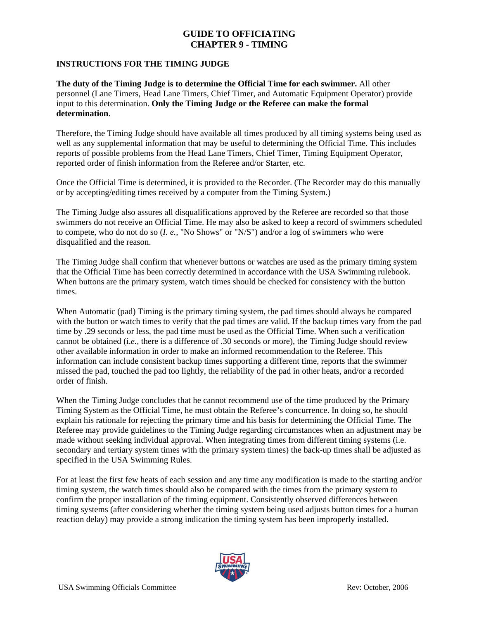#### **INSTRUCTIONS FOR THE TIMING JUDGE**

**The duty of the Timing Judge is to determine the Official Time for each swimmer.** All other personnel (Lane Timers, Head Lane Timers, Chief Timer, and Automatic Equipment Operator) provide input to this determination. **Only the Timing Judge or the Referee can make the formal determination**.

Therefore, the Timing Judge should have available all times produced by all timing systems being used as well as any supplemental information that may be useful to determining the Official Time. This includes reports of possible problems from the Head Lane Timers, Chief Timer, Timing Equipment Operator, reported order of finish information from the Referee and/or Starter, etc.

Once the Official Time is determined, it is provided to the Recorder. (The Recorder may do this manually or by accepting/editing times received by a computer from the Timing System.)

The Timing Judge also assures all disqualifications approved by the Referee are recorded so that those swimmers do not receive an Official Time. He may also be asked to keep a record of swimmers scheduled to compete, who do not do so (*I. e.,* "No Shows" or "N/S") and/or a log of swimmers who were disqualified and the reason.

The Timing Judge shall confirm that whenever buttons or watches are used as the primary timing system that the Official Time has been correctly determined in accordance with the USA Swimming rulebook. When buttons are the primary system, watch times should be checked for consistency with the button times.

When Automatic (pad) Timing is the primary timing system, the pad times should always be compared with the button or watch times to verify that the pad times are valid. If the backup times vary from the pad time by .29 seconds or less, the pad time must be used as the Official Time. When such a verification cannot be obtained (i.*e.,* there is a difference of .30 seconds or more), the Timing Judge should review other available information in order to make an informed recommendation to the Referee. This information can include consistent backup times supporting a different time, reports that the swimmer missed the pad, touched the pad too lightly, the reliability of the pad in other heats, and/or a recorded order of finish.

When the Timing Judge concludes that he cannot recommend use of the time produced by the Primary Timing System as the Official Time, he must obtain the Referee's concurrence. In doing so, he should explain his rationale for rejecting the primary time and his basis for determining the Official Time. The Referee may provide guidelines to the Timing Judge regarding circumstances when an adjustment may be made without seeking individual approval. When integrating times from different timing systems (i.e. secondary and tertiary system times with the primary system times) the back-up times shall be adjusted as specified in the USA Swimming Rules.

For at least the first few heats of each session and any time any modification is made to the starting and/or timing system, the watch times should also be compared with the times from the primary system to confirm the proper installation of the timing equipment. Consistently observed differences between timing systems (after considering whether the timing system being used adjusts button times for a human reaction delay) may provide a strong indication the timing system has been improperly installed.